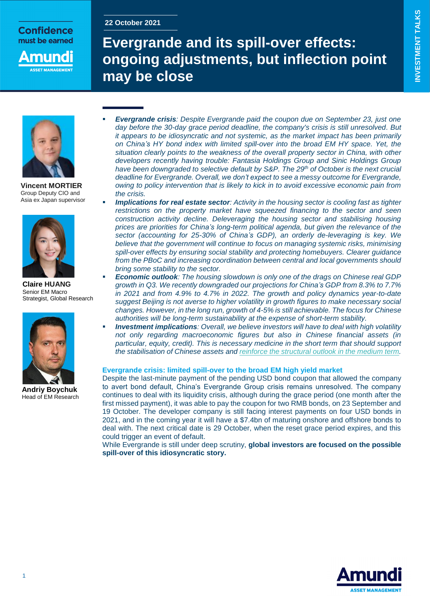# **INVESTMENT TALKS INVESTMENT TALKS**

## **Evergrande and its spill-over effects: ongoing adjustments, but inflection point may be close**



**Confidence** must be earned

> nund **SET MANAGEMI**

**Vincent MORTIER** Group Deputy CIO and Asia ex Japan supervisor



**Claire HUANG** Senior EM Macro Strategist, Global Research



**Andriy Boychuk** Head of EM Research

- *Evergrande crisis: Despite Evergrande paid the coupon due on September 23, just one day before the 30-day grace period deadline, the company's crisis is still unresolved. But it appears to be idiosyncratic and not systemic, as the market impact has been primarily on China's HY bond index with limited spill-over into the broad EM HY space. Yet, the situation clearly points to the weakness of the overall property sector in China, with other developers recently having trouble: Fantasia Holdings Group and Sinic Holdings Group*  have been downgraded to selective default by S&P. The 29<sup>th</sup> of October is the next crucial *deadline for Evergrande. Overall, we don't expect to see a messy outcome for Evergrande, owing to policy intervention that is likely to kick in to avoid excessive economic pain from the crisis.*
	- *Implications for real estate sector: Activity in the housing sector is cooling fast as tighter restrictions on the property market have squeezed financing to the sector and seen construction activity decline. Deleveraging the housing sector and stabilising housing prices are priorities for China's long-term political agenda, but given the relevance of the sector (accounting for 25-30% of China's GDP), an orderly de-leveraging is key. We believe that the government will continue to focus on managing systemic risks, minimising*  spill-over effects by ensuring social stability and protecting homebuyers. Clearer guidance *from the PBoC and increasing coordination between central and local governments should bring some stability to the sector.*
	- *Economic outlook: The housing slowdown is only one of the drags on Chinese real GDP growth in Q3. We recently downgraded our projections for China's GDP from 8.3% to 7.7% in 2021 and from 4.9% to 4.7% in 2022. The growth and policy dynamics year-to-date suggest Beijing is not averse to higher volatility in growth figures to make necessary social changes. However, in the long run, growth of 4-5% is still achievable. The focus for Chinese authorities will be long-term sustainability at the expense of short-term stability.*
	- *Investment implications: Overall, we believe investors will have to deal with high volatility not only regarding macroeconomic figures but also in Chinese financial assets (in particular, equity, credit). This is necessary medicine in the short term that should support the stabilisation of Chinese assets and reinforce [the structural outlook](https://research-center.amundi.com/article/china-finally-emerging-us-s-shadow) in the medium term.*

## **Evergrande crisis: limited spill-over to the broad EM high yield market**

Despite the last-minute payment of the pending USD bond coupon that allowed the company to avert bond default, China's Evergrande Group crisis remains unresolved. The company continues to deal with its liquidity crisis, although during the grace period (one month after the first missed payment), it was able to pay the coupon for two RMB bonds, on 23 September and 19 October. The developer company is still facing interest payments on four USD bonds in 2021, and in the coming year it will have a \$7.4bn of maturing onshore and offshore bonds to deal with. The next critical date is 29 October, when the reset grace period expires, and this could trigger an event of default.

While Evergrande is still under deep scrutiny, **global investors are focused on the possible spill-over of this idiosyncratic story.**

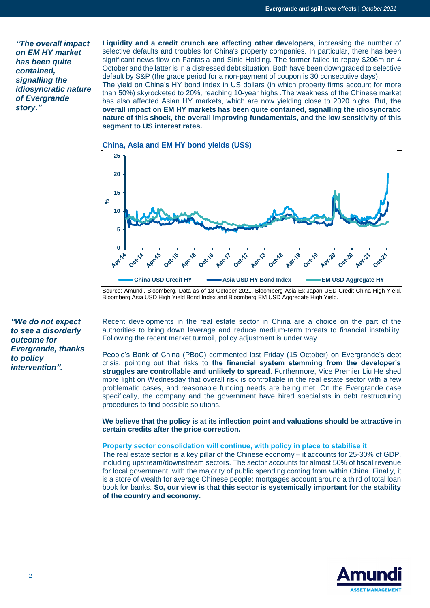*"The overall impact on EM HY market has been quite contained, signalling the idiosyncratic nature of Evergrande story."*

**Liquidity and a credit crunch are affecting other developers**, increasing the number of selective defaults and troubles for China's property companies. In particular, there has been significant news flow on Fantasia and Sinic Holding. The former failed to repay \$206m on 4 October and the latter is in a distressed debt situation. Both have been downgraded to selective default by S&P (the grace period for a non-payment of coupon is 30 consecutive days). The yield on China's HY bond index in US dollars (in which property firms account for more than 50%) skyrocketed to 20%, reaching 10-year highs .The weakness of the Chinese market has also affected Asian HY markets, which are now yielding close to 2020 highs. But, **the overall impact on EM HY markets has been quite contained, signalling the idiosyncratic nature of this shock, the overall improving fundamentals, and the low sensitivity of this segment to US interest rates.**





Source: Amundi, Bloomberg. Data as of 18 October 2021. Bloomberg Asia Ex-Japan USD Credit China High Yield, Bloomberg Asia USD High Yield Bond Index and Bloomberg EM USD Aggregate High Yield.

*"We do not expect to see a disorderly outcome for Evergrande, thanks to policy intervention".*

Recent developments in the real estate sector in China are a choice on the part of the authorities to bring down leverage and reduce medium-term threats to financial instability. Following the recent market turmoil, policy adjustment is under way.

People's Bank of China (PBoC) commented last Friday (15 October) on Evergrande's debt crisis, pointing out that risks to **the financial system stemming from the developer's struggles are controllable and unlikely to spread**. Furthermore, Vice Premier Liu He shed more light on Wednesday that overall risk is controllable in the real estate sector with a few problematic cases, and reasonable funding needs are being met. On the Evergrande case specifically, the company and the government have hired specialists in debt restructuring procedures to find possible solutions.

**We believe that the policy is at its inflection point and valuations should be attractive in certain credits after the price correction.**

### **Property sector consolidation will continue, with policy in place to stabilise it**

The real estate sector is a key pillar of the Chinese economy – it accounts for 25-30% of GDP, including upstream/downstream sectors. The sector accounts for almost 50% of fiscal revenue for local government, with the majority of public spending coming from within China. Finally, it is a store of wealth for average Chinese people: mortgages account around a third of total loan book for banks. **So, our view is that this sector is systemically important for the stability of the country and economy.** 

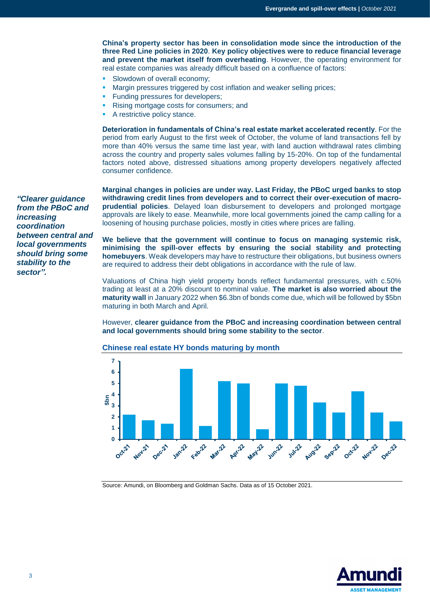**China's property sector has been in consolidation mode since the introduction of the three Red Line policies in 2020**. **Key policy objectives were to reduce financial leverage and prevent the market itself from overheating**. However, the operating environment for real estate companies was already difficult based on a confluence of factors:

- **Slowdown of overall economy;**
- **Margin pressures triggered by cost inflation and weaker selling prices;**
- Funding pressures for developers;
- Rising mortgage costs for consumers; and
- A restrictive policy stance.

**Deterioration in fundamentals of China's real estate market accelerated recently**. For the period from early August to the first week of October, the volume of land transactions fell by more than 40% versus the same time last year, with land auction withdrawal rates climbing across the country and property sales volumes falling by 15-20%. On top of the fundamental factors noted above, distressed situations among property developers negatively affected consumer confidence.

*"Clearer guidance from the PBoC and increasing coordination between central and local governments should bring some stability to the sector".*

**Marginal changes in policies are under way. Last Friday, the PBoC urged banks to stop withdrawing credit lines from developers and to correct their over-execution of macroprudential policies**. Delayed loan disbursement to developers and prolonged mortgage approvals are likely to ease. Meanwhile, more local governments joined the camp calling for a loosening of housing purchase policies, mostly in cities where prices are falling.

**We believe that the government will continue to focus on managing systemic risk, minimising the spill-over effects by ensuring the social stability and protecting homebuyers**. Weak developers may have to restructure their obligations, but business owners are required to address their debt obligations in accordance with the rule of law.

Valuations of China high yield property bonds reflect fundamental pressures, with c.50% trading at least at a 20% discount to nominal value. **The market is also worried about the maturity wall** in January 2022 when \$6.3bn of bonds come due, which will be followed by \$5bn maturing in both March and April.

However, **clearer guidance from the PBoC and increasing coordination between central and local governments should bring some stability to the sector**.



**Chinese real estate HY bonds maturing by month**

Source: Amundi, on Bloomberg and Goldman Sachs. Data as of 15 October 2021.

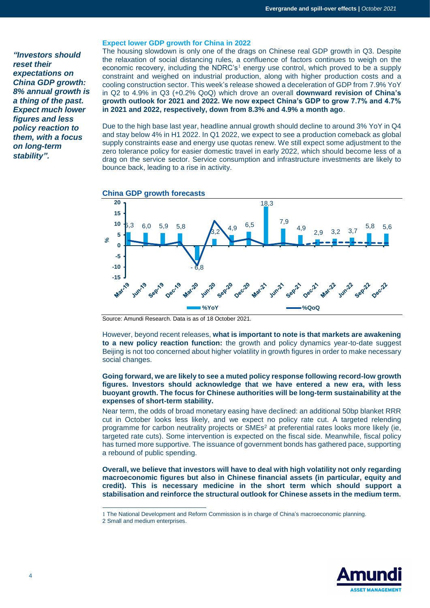*"Investors should reset their expectations on China GDP growth: 8% annual growth is a thing of the past. Expect much lower figures and less policy reaction to them, with a focus on long-term stability".*

## **Expect lower GDP growth for China in 2022**

The housing slowdown is only one of the drags on Chinese real GDP growth in Q3. Despite the relaxation of social distancing rules, a confluence of factors continues to weigh on the economic recovery, including the NDRC's<sup>1</sup> energy use control, which proved to be a supply constraint and weighed on industrial production, along with higher production costs and a cooling construction sector. This week's release showed a deceleration of GDP from 7.9% YoY in Q2 to 4.9% in Q3 (+0.2% QoQ) which drove an overall **downward revision of China's growth outlook for 2021 and 2022. We now expect China's GDP to grow 7.7% and 4.7% in 2021 and 2022, respectively, down from 8.3% and 4.9% a month ago**.

Due to the high base last year, headline annual growth should decline to around 3% YoY in Q4 and stay below 4% in H1 2022. In Q1 2022, we expect to see a production comeback as global supply constraints ease and energy use quotas renew. We still expect some adjustment to the zero tolerance policy for easier domestic travel in early 2022, which should become less of a drag on the service sector. Service consumption and infrastructure investments are likely to bounce back, leading to a rise in activity.





Source: Amundi Research. Data is as of 18 October 2021.

However, beyond recent releases, **what is important to note is that markets are awakening to a new policy reaction function:** the growth and policy dynamics year-to-date suggest Beijing is not too concerned about higher volatility in growth figures in order to make necessary social changes.

## **Going forward, we are likely to see a muted policy response following record-low growth figures. Investors should acknowledge that we have entered a new era, with less buoyant growth. The focus for Chinese authorities will be long-term sustainability at the expenses of short-term stability.**

Near term, the odds of broad monetary easing have declined: an additional 50bp blanket RRR cut in October looks less likely, and we expect no policy rate cut. A targeted relending programme for carbon neutrality projects or SMEs <sup>2</sup> at preferential rates looks more likely (ie, targeted rate cuts). Some intervention is expected on the fiscal side. Meanwhile, fiscal policy has turned more supportive. The issuance of government bonds has gathered pace, supporting a rebound of public spending.

**Overall, we believe that investors will have to deal with high volatility not only regarding macroeconomic figures but also in Chinese financial assets (in particular, equity and credit). This is necessary medicine in the short term which should support a stabilisation and reinforce the structural outlook for Chinese assets in the medium term.**

-



<sup>1</sup> The National Development and Reform Commission is in charge of China's macroeconomic planning.

<sup>2</sup> Small and medium enterprises.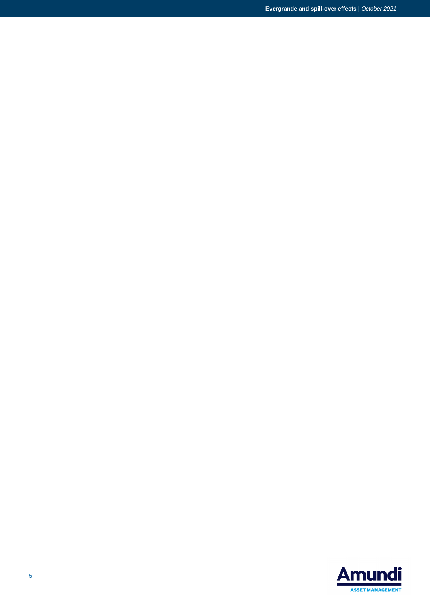